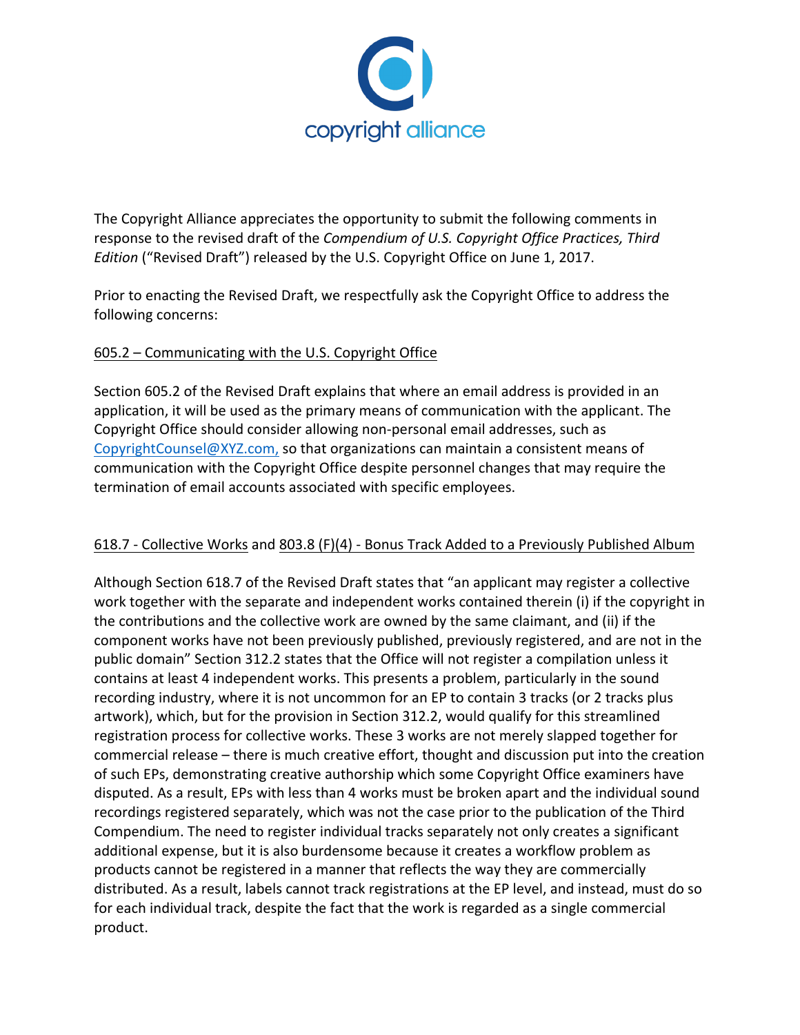

The Copyright Alliance appreciates the opportunity to submit the following comments in response to the revised draft of the *Compendium of U.S. Copyright Office Practices, Third Edition* ("Revised Draft") released by the U.S. Copyright Office on June 1, 2017.

Prior to enacting the Revised Draft, we respectfully ask the Copyright Office to address the following concerns:

# $605.2$  – Communicating with the U.S. Copyright Office

Section 605.2 of the Revised Draft explains that where an email address is provided in an application, it will be used as the primary means of communication with the applicant. The Copyright Office should consider allowing non-personal email addresses, such as CopyrightCounsel@XYZ.com, so that organizations can maintain a consistent means of communication with the Copyright Office despite personnel changes that may require the termination of email accounts associated with specific employees.

### 618.7 - Collective Works and 803.8 (F)(4) - Bonus Track Added to a Previously Published Album

Although Section 618.7 of the Revised Draft states that "an applicant may register a collective work together with the separate and independent works contained therein (i) if the copyright in the contributions and the collective work are owned by the same claimant, and (ii) if the component works have not been previously published, previously registered, and are not in the public domain" Section 312.2 states that the Office will not register a compilation unless it contains at least 4 independent works. This presents a problem, particularly in the sound recording industry, where it is not uncommon for an EP to contain 3 tracks (or 2 tracks plus artwork), which, but for the provision in Section 312.2, would qualify for this streamlined registration process for collective works. These 3 works are not merely slapped together for commercial release – there is much creative effort, thought and discussion put into the creation of such EPs, demonstrating creative authorship which some Copyright Office examiners have disputed. As a result, EPs with less than 4 works must be broken apart and the individual sound recordings registered separately, which was not the case prior to the publication of the Third Compendium. The need to register individual tracks separately not only creates a significant additional expense, but it is also burdensome because it creates a workflow problem as products cannot be registered in a manner that reflects the way they are commercially distributed. As a result, labels cannot track registrations at the EP level, and instead, must do so for each individual track, despite the fact that the work is regarded as a single commercial product.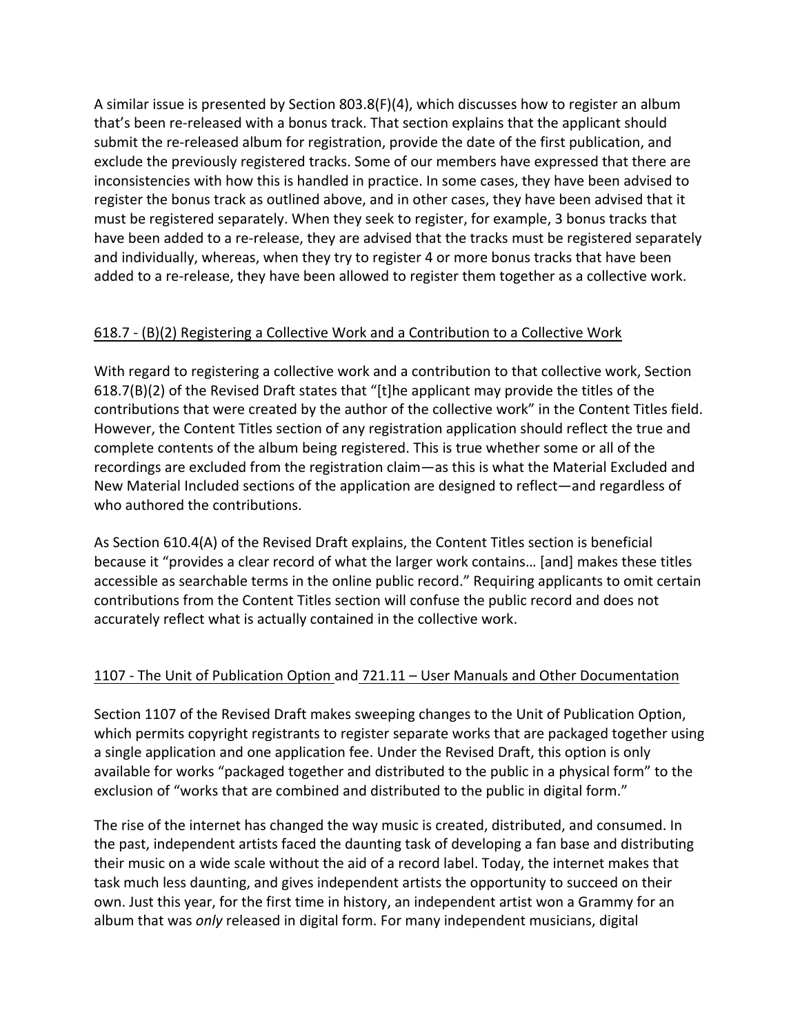A similar issue is presented by Section 803.8(F)(4), which discusses how to register an album that's been re-released with a bonus track. That section explains that the applicant should submit the re-released album for registration, provide the date of the first publication, and exclude the previously registered tracks. Some of our members have expressed that there are inconsistencies with how this is handled in practice. In some cases, they have been advised to register the bonus track as outlined above, and in other cases, they have been advised that it must be registered separately. When they seek to register, for example, 3 bonus tracks that have been added to a re-release, they are advised that the tracks must be registered separately and individually, whereas, when they try to register 4 or more bonus tracks that have been added to a re-release, they have been allowed to register them together as a collective work.

### $618.7 - (B)(2)$  Registering a Collective Work and a Contribution to a Collective Work

With regard to registering a collective work and a contribution to that collective work, Section  $618.7(B)(2)$  of the Revised Draft states that "[t]he applicant may provide the titles of the contributions that were created by the author of the collective work" in the Content Titles field. However, the Content Titles section of any registration application should reflect the true and complete contents of the album being registered. This is true whether some or all of the recordings are excluded from the registration claim—as this is what the Material Excluded and New Material Included sections of the application are designed to reflect—and regardless of who authored the contributions.

As Section  $610.4(A)$  of the Revised Draft explains, the Content Titles section is beneficial because it "provides a clear record of what the larger work contains... [and] makes these titles accessible as searchable terms in the online public record." Requiring applicants to omit certain contributions from the Content Titles section will confuse the public record and does not accurately reflect what is actually contained in the collective work.

### 1107 - The Unit of Publication Option and 721.11 – User Manuals and Other Documentation

Section 1107 of the Revised Draft makes sweeping changes to the Unit of Publication Option, which permits copyright registrants to register separate works that are packaged together using a single application and one application fee. Under the Revised Draft, this option is only available for works "packaged together and distributed to the public in a physical form" to the exclusion of "works that are combined and distributed to the public in digital form."

The rise of the internet has changed the way music is created, distributed, and consumed. In the past, independent artists faced the daunting task of developing a fan base and distributing their music on a wide scale without the aid of a record label. Today, the internet makes that task much less daunting, and gives independent artists the opportunity to succeed on their own. Just this year, for the first time in history, an independent artist won a Grammy for an album that was *only* released in digital form. For many independent musicians, digital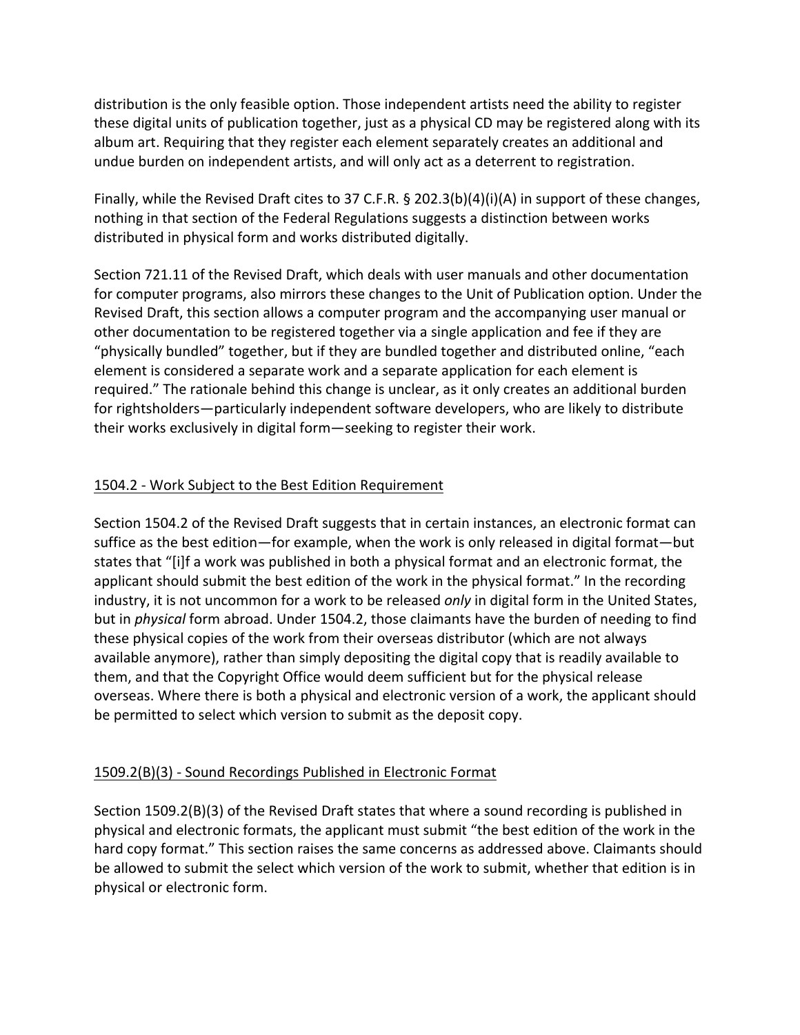distribution is the only feasible option. Those independent artists need the ability to register these digital units of publication together, just as a physical CD may be registered along with its album art. Requiring that they register each element separately creates an additional and undue burden on independent artists, and will only act as a deterrent to registration.

Finally, while the Revised Draft cites to 37 C.F.R. § 202.3(b)(4)(i)(A) in support of these changes, nothing in that section of the Federal Regulations suggests a distinction between works distributed in physical form and works distributed digitally.

Section 721.11 of the Revised Draft, which deals with user manuals and other documentation for computer programs, also mirrors these changes to the Unit of Publication option. Under the Revised Draft, this section allows a computer program and the accompanying user manual or other documentation to be registered together via a single application and fee if they are "physically bundled" together, but if they are bundled together and distributed online, "each element is considered a separate work and a separate application for each element is required." The rationale behind this change is unclear, as it only creates an additional burden for rightsholders—particularly independent software developers, who are likely to distribute their works exclusively in digital form—seeking to register their work.

# 1504.2 - Work Subject to the Best Edition Requirement

Section 1504.2 of the Revised Draft suggests that in certain instances, an electronic format can suffice as the best edition—for example, when the work is only released in digital format—but states that "[i]f a work was published in both a physical format and an electronic format, the applicant should submit the best edition of the work in the physical format." In the recording industry, it is not uncommon for a work to be released *only* in digital form in the United States, but in *physical* form abroad. Under 1504.2, those claimants have the burden of needing to find these physical copies of the work from their overseas distributor (which are not always available anymore), rather than simply depositing the digital copy that is readily available to them, and that the Copyright Office would deem sufficient but for the physical release overseas. Where there is both a physical and electronic version of a work, the applicant should be permitted to select which version to submit as the deposit copy.

### 1509.2(B)(3) - Sound Recordings Published in Electronic Format

Section  $1509.2(B)(3)$  of the Revised Draft states that where a sound recording is published in physical and electronic formats, the applicant must submit "the best edition of the work in the hard copy format." This section raises the same concerns as addressed above. Claimants should be allowed to submit the select which version of the work to submit, whether that edition is in physical or electronic form.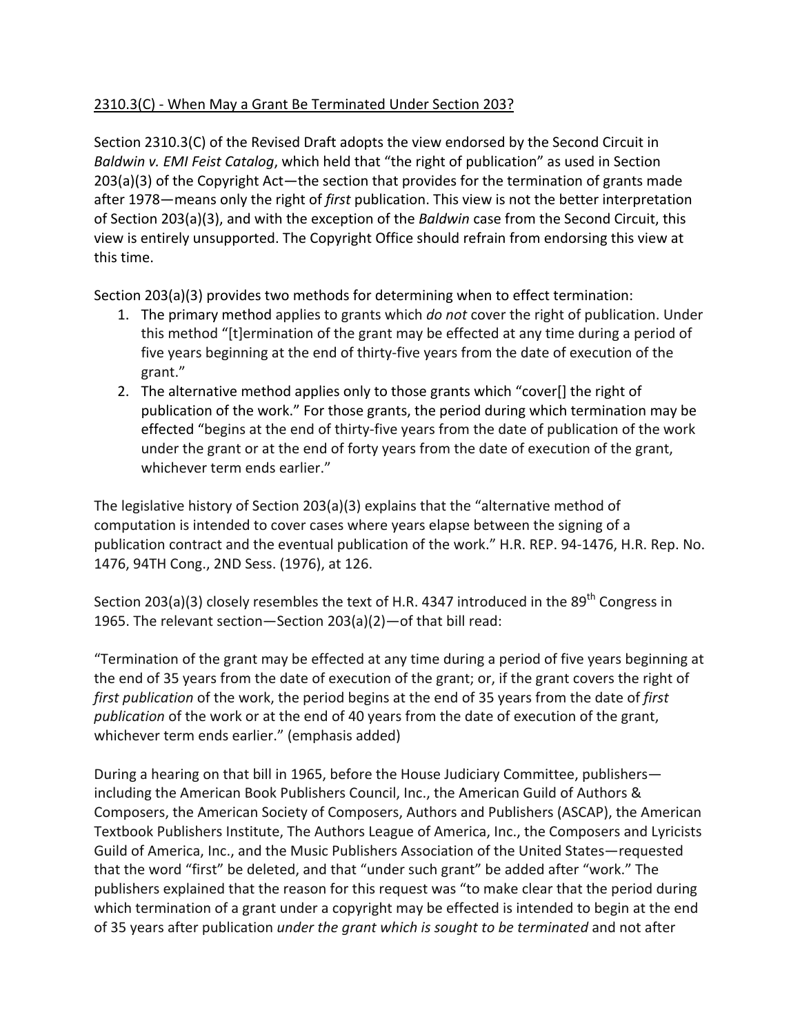# 2310.3(C) - When May a Grant Be Terminated Under Section 203?

Section  $2310.3(C)$  of the Revised Draft adopts the view endorsed by the Second Circuit in *Baldwin v. EMI Feist Catalog*, which held that "the right of publication" as used in Section  $203(a)(3)$  of the Copyright Act—the section that provides for the termination of grants made after 1978—means only the right of *first* publication. This view is not the better interpretation of Section 203(a)(3), and with the exception of the *Baldwin* case from the Second Circuit, this view is entirely unsupported. The Copyright Office should refrain from endorsing this view at this time.

Section  $203(a)(3)$  provides two methods for determining when to effect termination:

- 1. The primary method applies to grants which *do not* cover the right of publication. Under this method "[t]ermination of the grant may be effected at any time during a period of five years beginning at the end of thirty-five years from the date of execution of the grant."
- 2. The alternative method applies only to those grants which "cover[] the right of publication of the work." For those grants, the period during which termination may be effected "begins at the end of thirty-five years from the date of publication of the work under the grant or at the end of forty years from the date of execution of the grant, whichever term ends earlier."

The legislative history of Section 203(a)(3) explains that the "alternative method of computation is intended to cover cases where years elapse between the signing of a publication contract and the eventual publication of the work." H.R. REP. 94-1476, H.R. Rep. No. 1476, 94TH Cong., 2ND Sess. (1976), at 126.

Section 203(a)(3) closely resembles the text of H.R. 4347 introduced in the 89<sup>th</sup> Congress in 1965. The relevant section—Section  $203(a)(2)$ —of that bill read:

"Termination of the grant may be effected at any time during a period of five years beginning at the end of 35 years from the date of execution of the grant; or, if the grant covers the right of *first publication* of the work, the period begins at the end of 35 years from the date of *first publication* of the work or at the end of 40 years from the date of execution of the grant, whichever term ends earlier." (emphasis added)

During a hearing on that bill in 1965, before the House Judiciary Committee, publishers including the American Book Publishers Council, Inc., the American Guild of Authors & Composers, the American Society of Composers, Authors and Publishers (ASCAP), the American Textbook Publishers Institute, The Authors League of America, Inc., the Composers and Lyricists Guild of America, Inc., and the Music Publishers Association of the United States—requested that the word "first" be deleted, and that "under such grant" be added after "work." The publishers explained that the reason for this request was "to make clear that the period during which termination of a grant under a copyright may be effected is intended to begin at the end of 35 years after publication *under the grant which is sought to be terminated* and not after